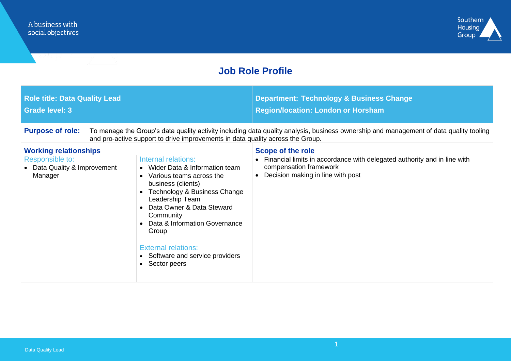

# **Job Role Profile**

| <b>Role title: Data Quality Lead</b><br><b>Grade level: 3</b>                                                                                                                                                                                       |                                                                                                                                                                                                                                                                                                                                           | <b>Department: Technology &amp; Business Change</b><br><b>Region/location: London or Horsham</b>                                        |  |  |
|-----------------------------------------------------------------------------------------------------------------------------------------------------------------------------------------------------------------------------------------------------|-------------------------------------------------------------------------------------------------------------------------------------------------------------------------------------------------------------------------------------------------------------------------------------------------------------------------------------------|-----------------------------------------------------------------------------------------------------------------------------------------|--|--|
| <b>Purpose of role:</b><br>To manage the Group's data quality activity including data quality analysis, business ownership and management of data quality tooling<br>and pro-active support to drive improvements in data quality across the Group. |                                                                                                                                                                                                                                                                                                                                           |                                                                                                                                         |  |  |
| <b>Working relationships</b>                                                                                                                                                                                                                        |                                                                                                                                                                                                                                                                                                                                           | Scope of the role                                                                                                                       |  |  |
| Responsible to:<br>• Data Quality & Improvement<br>Manager                                                                                                                                                                                          | Internal relations:<br>• Wider Data & Information team<br>• Various teams across the<br>business (clients)<br>Technology & Business Change<br>Leadership Team<br>• Data Owner & Data Steward<br>Community<br>• Data & Information Governance<br>Group<br><b>External relations:</b><br>• Software and service providers<br>• Sector peers | Financial limits in accordance with delegated authority and in line with<br>compensation framework<br>Decision making in line with post |  |  |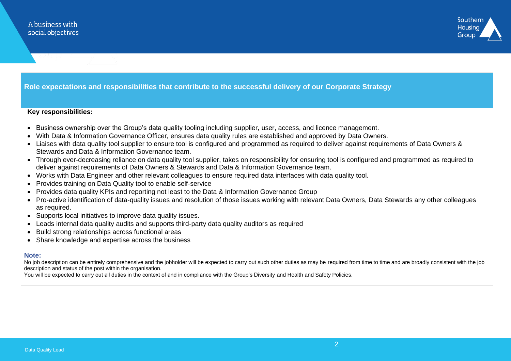

### **Role expectations and responsibilities that contribute to the successful delivery of our Corporate Strategy**

#### **Key responsibilities:**

- Business ownership over the Group's data quality tooling including supplier, user, access, and licence management.
- With Data & Information Governance Officer, ensures data quality rules are established and approved by Data Owners.
- Liaises with data quality tool supplier to ensure tool is configured and programmed as required to deliver against requirements of Data Owners & Stewards and Data & Information Governance team.
- Through ever-decreasing reliance on data quality tool supplier, takes on responsibility for ensuring tool is configured and programmed as required to deliver against requirements of Data Owners & Stewards and Data & Information Governance team.
- Works with Data Engineer and other relevant colleagues to ensure required data interfaces with data quality tool.
- Provides training on Data Quality tool to enable self-service
- Provides data quality KPIs and reporting not least to the Data & Information Governance Group
- Pro-active identification of data-quality issues and resolution of those issues working with relevant Data Owners, Data Stewards any other colleagues as required.
- Supports local initiatives to improve data quality issues.
- Leads internal data quality audits and supports third-party data quality auditors as required
- Build strong relationships across functional areas
- Share knowledge and expertise across the business

#### **Note:**

No job description can be entirely comprehensive and the jobholder will be expected to carry out such other duties as may be required from time to time and are broadly consistent with the job description and status of the post within the organisation.

You will be expected to carry out all duties in the context of and in compliance with the Group's Diversity and Health and Safety Policies.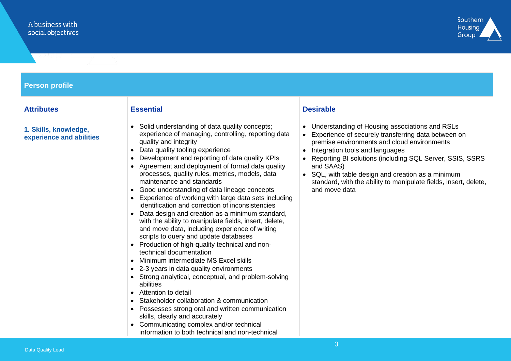

## **Person profile**

| <b>Attributes</b>                                 | <b>Essential</b>                                                                                                                                                                                                                                                                                                                                                                                                                                                                                                                                                                                                                                                                                                                                                                                                                                                                                                                                                                                                                                                                                                                                                                                                  | <b>Desirable</b>                                                                                                                                                                                                                                                                                                                                                                                                |
|---------------------------------------------------|-------------------------------------------------------------------------------------------------------------------------------------------------------------------------------------------------------------------------------------------------------------------------------------------------------------------------------------------------------------------------------------------------------------------------------------------------------------------------------------------------------------------------------------------------------------------------------------------------------------------------------------------------------------------------------------------------------------------------------------------------------------------------------------------------------------------------------------------------------------------------------------------------------------------------------------------------------------------------------------------------------------------------------------------------------------------------------------------------------------------------------------------------------------------------------------------------------------------|-----------------------------------------------------------------------------------------------------------------------------------------------------------------------------------------------------------------------------------------------------------------------------------------------------------------------------------------------------------------------------------------------------------------|
| 1. Skills, knowledge,<br>experience and abilities | Solid understanding of data quality concepts;<br>experience of managing, controlling, reporting data<br>quality and integrity<br>Data quality tooling experience<br>Development and reporting of data quality KPIs<br>Agreement and deployment of formal data quality<br>processes, quality rules, metrics, models, data<br>maintenance and standards<br>Good understanding of data lineage concepts<br>Experience of working with large data sets including<br>identification and correction of inconsistencies<br>Data design and creation as a minimum standard,<br>with the ability to manipulate fields, insert, delete,<br>and move data, including experience of writing<br>scripts to query and update databases<br>Production of high-quality technical and non-<br>technical documentation<br>Minimum intermediate MS Excel skills<br>2-3 years in data quality environments<br>• Strong analytical, conceptual, and problem-solving<br>abilities<br>Attention to detail<br>Stakeholder collaboration & communication<br>Possesses strong oral and written communication<br>skills, clearly and accurately<br>Communicating complex and/or technical<br>information to both technical and non-technical | • Understanding of Housing associations and RSLs<br>Experience of securely transferring data between on<br>premise environments and cloud environments<br>• Integration tools and languages<br>Reporting BI solutions (including SQL Server, SSIS, SSRS<br>and SAAS)<br>• SQL, with table design and creation as a minimum<br>standard, with the ability to manipulate fields, insert, delete,<br>and move data |